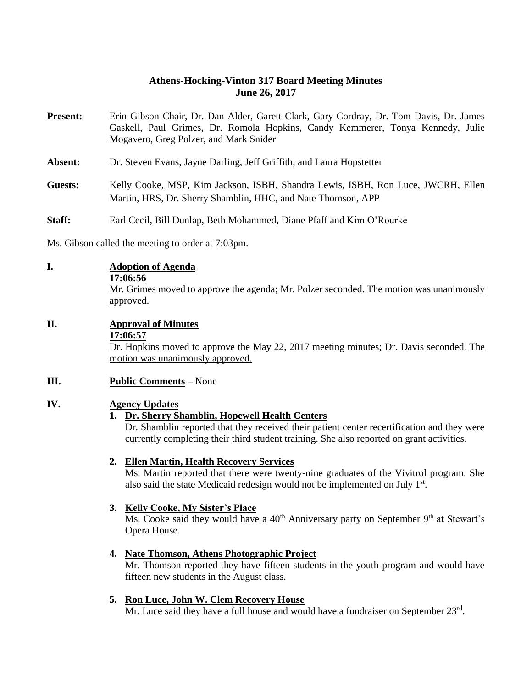# **Athens-Hocking-Vinton 317 Board Meeting Minutes June 26, 2017**

- **Present:** Erin Gibson Chair, Dr. Dan Alder, Garett Clark, Gary Cordray, Dr. Tom Davis, Dr. James Gaskell, Paul Grimes, Dr. Romola Hopkins, Candy Kemmerer, Tonya Kennedy, Julie Mogavero, Greg Polzer, and Mark Snider
- **Absent:** Dr. Steven Evans, Jayne Darling, Jeff Griffith, and Laura Hopstetter
- **Guests:** Kelly Cooke, MSP, Kim Jackson, ISBH, Shandra Lewis, ISBH, Ron Luce, JWCRH, Ellen Martin, HRS, Dr. Sherry Shamblin, HHC, and Nate Thomson, APP
- **Staff:** Earl Cecil, Bill Dunlap, Beth Mohammed, Diane Pfaff and Kim O'Rourke

Ms. Gibson called the meeting to order at 7:03pm.

#### **I. Adoption of Agenda**

#### **17:06:56**

Mr. Grimes moved to approve the agenda; Mr. Polzer seconded. The motion was unanimously approved.

#### **II. Approval of Minutes**

#### **17:06:57**

Dr. Hopkins moved to approve the May 22, 2017 meeting minutes; Dr. Davis seconded. The motion was unanimously approved.

#### **III. Public Comments** – None

#### **IV. Agency Updates**

#### **1. Dr. Sherry Shamblin, Hopewell Health Centers**

Dr. Shamblin reported that they received their patient center recertification and they were currently completing their third student training. She also reported on grant activities.

#### **2. Ellen Martin, Health Recovery Services**

Ms. Martin reported that there were twenty-nine graduates of the Vivitrol program. She also said the state Medicaid redesign would not be implemented on July  $1<sup>st</sup>$ .

#### **3. Kelly Cooke, My Sister's Place**

Ms. Cooke said they would have a  $40<sup>th</sup>$  Anniversary party on September  $9<sup>th</sup>$  at Stewart's Opera House.

#### **4. Nate Thomson, Athens Photographic Project**

Mr. Thomson reported they have fifteen students in the youth program and would have fifteen new students in the August class.

#### **5. Ron Luce, John W. Clem Recovery House**

Mr. Luce said they have a full house and would have a fundraiser on September 23rd.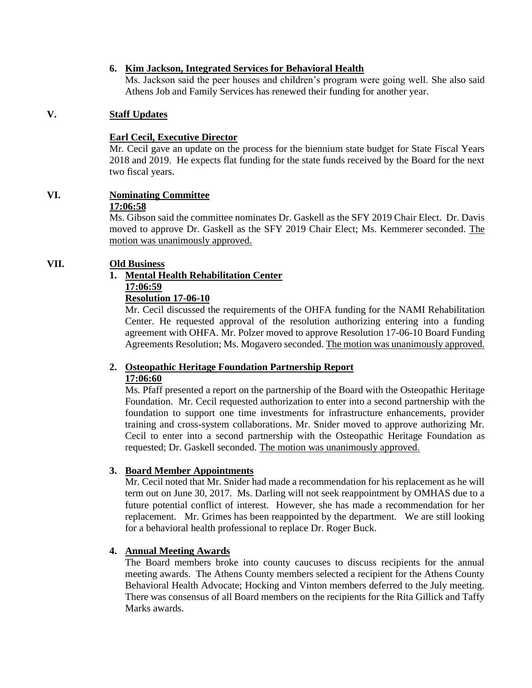### **6. Kim Jackson, Integrated Services for Behavioral Health**

Ms. Jackson said the peer houses and children's program were going well. She also said Athens Job and Family Services has renewed their funding for another year.

## **V. Staff Updates**

### **Earl Cecil, Executive Director**

Mr. Cecil gave an update on the process for the biennium state budget for State Fiscal Years 2018 and 2019. He expects flat funding for the state funds received by the Board for the next two fiscal years.

## **VI. Nominating Committee**

### **17:06:58**

 Ms. Gibson said the committee nominates Dr. Gaskell as the SFY 2019 Chair Elect. Dr. Davis moved to approve Dr. Gaskell as the SFY 2019 Chair Elect; Ms. Kemmerer seconded. The motion was unanimously approved.

## **VII. Old Business**

#### **1. Mental Health Rehabilitation Center 17:06:59 Resolution 17-06-10**

Mr. Cecil discussed the requirements of the OHFA funding for the NAMI Rehabilitation Center. He requested approval of the resolution authorizing entering into a funding agreement with OHFA. Mr. Polzer moved to approve Resolution 17-06-10 Board Funding Agreements Resolution; Ms. Mogavero seconded. The motion was unanimously approved.

## **2. Osteopathic Heritage Foundation Partnership Report 17:06:60**

Ms. Pfaff presented a report on the partnership of the Board with the Osteopathic Heritage Foundation. Mr. Cecil requested authorization to enter into a second partnership with the foundation to support one time investments for infrastructure enhancements, provider training and cross-system collaborations. Mr. Snider moved to approve authorizing Mr. Cecil to enter into a second partnership with the Osteopathic Heritage Foundation as requested; Dr. Gaskell seconded. The motion was unanimously approved.

# **3. Board Member Appointments**

Mr. Cecil noted that Mr. Snider had made a recommendation for his replacement as he will term out on June 30, 2017. Ms. Darling will not seek reappointment by OMHAS due to a future potential conflict of interest. However, she has made a recommendation for her replacement. Mr. Grimes has been reappointed by the department. We are still looking for a behavioral health professional to replace Dr. Roger Buck.

# **4. Annual Meeting Awards**

The Board members broke into county caucuses to discuss recipients for the annual meeting awards. The Athens County members selected a recipient for the Athens County Behavioral Health Advocate; Hocking and Vinton members deferred to the July meeting. There was consensus of all Board members on the recipients for the Rita Gillick and Taffy Marks awards.